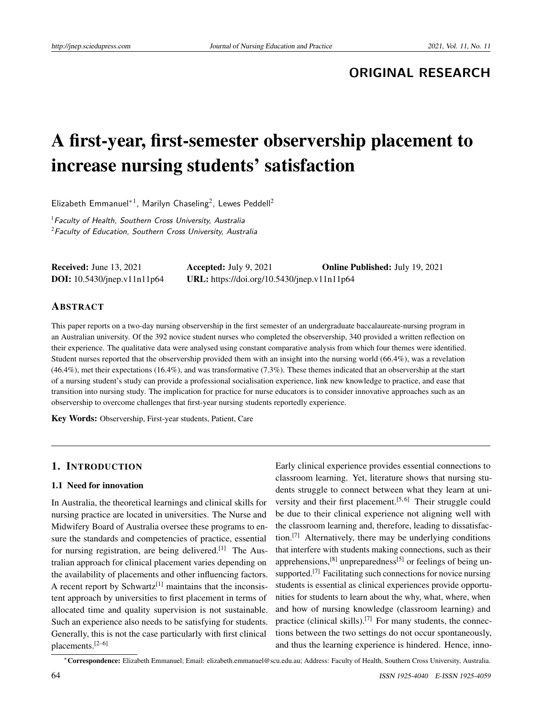# **ORIGINAL RESEARCH**

# A first-year, first-semester observership placement to increase nursing students' satisfaction

Elizabeth Emmanuel<sup>\*1</sup>, Marilyn Chaseling<sup>2</sup>, Lewes Peddell<sup>2</sup>

 $1$ Faculty of Health, Southern Cross University, Australia  $2$ Faculty of Education, Southern Cross University, Australia

Received: June 13, 2021 Accepted: July 9, 2021 Online Published: July 19, 2021 DOI: 10.5430/jnep.v11n11p64 URL: https://doi.org/10.5430/jnep.v11n11p64

#### ABSTRACT

This paper reports on a two-day nursing observership in the first semester of an undergraduate baccalaureate-nursing program in an Australian university. Of the 392 novice student nurses who completed the observership, 340 provided a written reflection on their experience. The qualitative data were analysed using constant comparative analysis from which four themes were identified. Student nurses reported that the observership provided them with an insight into the nursing world (66.4%), was a revelation (46.4%), met their expectations (16.4%), and was transformative (7.3%). These themes indicated that an observership at the start of a nursing student's study can provide a professional socialisation experience, link new knowledge to practice, and ease that transition into nursing study. The implication for practice for nurse educators is to consider innovative approaches such as an observership to overcome challenges that first-year nursing students reportedly experience.

Key Words: Observership, First-year students, Patient, Care

#### 1. INTRODUCTION

#### 1.1 Need for innovation

In Australia, the theoretical learnings and clinical skills for nursing practice are located in universities. The Nurse and Midwifery Board of Australia oversee these programs to ensure the standards and competencies of practice, essential for nursing registration, are being delivered.<sup>[\[1\]](#page-6-0)</sup> The Australian approach for clinical placement varies depending on the availability of placements and other influencing factors. A recent report by Schwartz<sup>[\[1\]](#page-6-0)</sup> maintains that the inconsistent approach by universities to first placement in terms of allocated time and quality supervision is not sustainable. Such an experience also needs to be satisfying for students. Generally, this is not the case particularly with first clinical placements.[\[2](#page-6-1)[–6\]](#page-6-2)

Early clinical experience provides essential connections to classroom learning. Yet, literature shows that nursing students struggle to connect between what they learn at uni-versity and their first placement.<sup>[\[5,](#page-6-3)[6\]](#page-6-2)</sup> Their struggle could be due to their clinical experience not aligning well with the classroom learning and, therefore, leading to dissatisfaction.[\[7\]](#page-6-4) Alternatively, there may be underlying conditions that interfere with students making connections, such as their apprehensions, $[8]$  unpreparedness $[5]$  or feelings of being un-supported.<sup>[\[7\]](#page-6-4)</sup> Facilitating such connections for novice nursing students is essential as clinical experiences provide opportunities for students to learn about the why, what, where, when and how of nursing knowledge (classroom learning) and practice (clinical skills).<sup>[\[7\]](#page-6-4)</sup> For many students, the connections between the two settings do not occur spontaneously, and thus the learning experience is hindered. Hence, inno-

<sup>∗</sup>Correspondence: Elizabeth Emmanuel; Email: elizabeth.emmanuel@scu.edu.au; Address: Faculty of Health, Southern Cross University, Australia.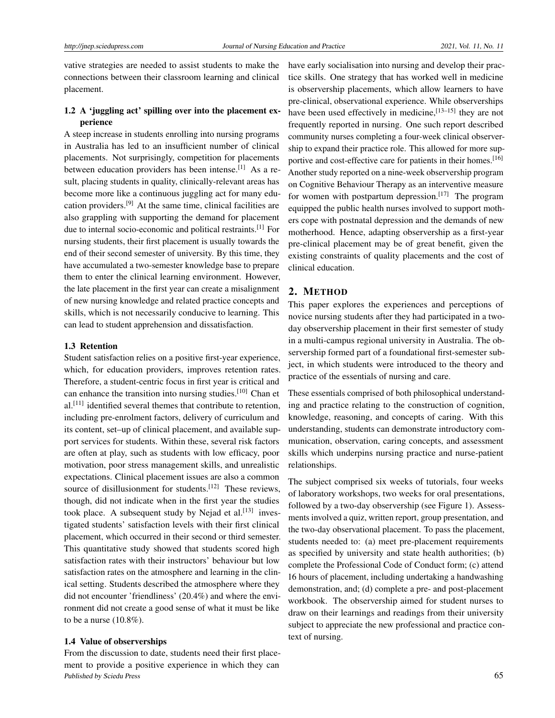vative strategies are needed to assist students to make the connections between their classroom learning and clinical placement.

### 1.2 A 'juggling act' spilling over into the placement experience

A steep increase in students enrolling into nursing programs in Australia has led to an insufficient number of clinical placements. Not surprisingly, competition for placements between education providers has been intense.<sup>[\[1\]](#page-6-0)</sup> As a result, placing students in quality, clinically-relevant areas has become more like a continuous juggling act for many education providers.[\[9\]](#page-6-6) At the same time, clinical facilities are also grappling with supporting the demand for placement due to internal socio-economic and political restraints.[\[1\]](#page-6-0) For nursing students, their first placement is usually towards the end of their second semester of university. By this time, they have accumulated a two-semester knowledge base to prepare them to enter the clinical learning environment. However, the late placement in the first year can create a misalignment of new nursing knowledge and related practice concepts and skills, which is not necessarily conducive to learning. This can lead to student apprehension and dissatisfaction.

#### 1.3 Retention

Student satisfaction relies on a positive first-year experience, which, for education providers, improves retention rates. Therefore, a student-centric focus in first year is critical and can enhance the transition into nursing studies.[\[10\]](#page-6-7) Chan et al.<sup>[\[11\]](#page-6-8)</sup> identified several themes that contribute to retention, including pre-enrolment factors, delivery of curriculum and its content, set–up of clinical placement, and available support services for students. Within these, several risk factors are often at play, such as students with low efficacy, poor motivation, poor stress management skills, and unrealistic expectations. Clinical placement issues are also a common source of disillusionment for students.<sup>[\[12\]](#page-7-0)</sup> These reviews, though, did not indicate when in the first year the studies took place. A subsequent study by Nejad et al. $[13]$  investigated students' satisfaction levels with their first clinical placement, which occurred in their second or third semester. This quantitative study showed that students scored high satisfaction rates with their instructors' behaviour but low satisfaction rates on the atmosphere and learning in the clinical setting. Students described the atmosphere where they did not encounter 'friendliness' (20.4%) and where the environment did not create a good sense of what it must be like to be a nurse  $(10.8\%)$ .

#### 1.4 Value of observerships

From the discussion to date, students need their first placement to provide a positive experience in which they can Published by Sciedu Press 65

have early socialisation into nursing and develop their practice skills. One strategy that has worked well in medicine is observership placements, which allow learners to have pre-clinical, observational experience. While observerships have been used effectively in medicine, [13-[15\]](#page-7-2) they are not frequently reported in nursing. One such report described community nurses completing a four-week clinical observership to expand their practice role. This allowed for more sup-portive and cost-effective care for patients in their homes.<sup>[\[16\]](#page-7-3)</sup> Another study reported on a nine-week observership program on Cognitive Behaviour Therapy as an interventive measure for women with postpartum depression.<sup>[\[17\]](#page-7-4)</sup> The program equipped the public health nurses involved to support mothers cope with postnatal depression and the demands of new motherhood. Hence, adapting observership as a first-year pre-clinical placement may be of great benefit, given the existing constraints of quality placements and the cost of clinical education.

#### 2. METHOD

This paper explores the experiences and perceptions of novice nursing students after they had participated in a twoday observership placement in their first semester of study in a multi-campus regional university in Australia. The observership formed part of a foundational first-semester subject, in which students were introduced to the theory and practice of the essentials of nursing and care.

These essentials comprised of both philosophical understanding and practice relating to the construction of cognition, knowledge, reasoning, and concepts of caring. With this understanding, students can demonstrate introductory communication, observation, caring concepts, and assessment skills which underpins nursing practice and nurse-patient relationships.

The subject comprised six weeks of tutorials, four weeks of laboratory workshops, two weeks for oral presentations, followed by a two-day observership (see Figure 1). Assessments involved a quiz, written report, group presentation, and the two-day observational placement. To pass the placement, students needed to: (a) meet pre-placement requirements as specified by university and state health authorities; (b) complete the Professional Code of Conduct form; (c) attend 16 hours of placement, including undertaking a handwashing demonstration, and; (d) complete a pre- and post-placement workbook. The observership aimed for student nurses to draw on their learnings and readings from their university subject to appreciate the new professional and practice context of nursing.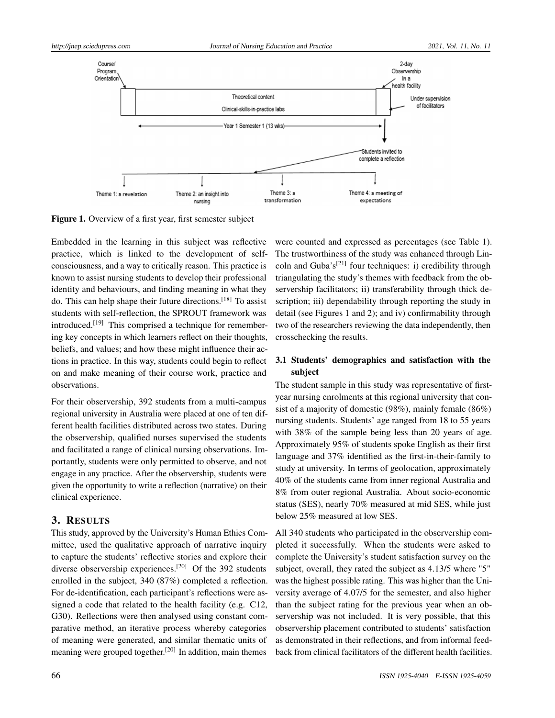

Figure 1. Overview of a first year, first semester subject

Embedded in the learning in this subject was reflective practice, which is linked to the development of selfconsciousness, and a way to critically reason. This practice is known to assist nursing students to develop their professional identity and behaviours, and finding meaning in what they do. This can help shape their future directions.[\[18\]](#page-7-5) To assist students with self-reflection, the SPROUT framework was introduced.<sup>[\[19\]](#page-7-6)</sup> This comprised a technique for remembering key concepts in which learners reflect on their thoughts, beliefs, and values; and how these might influence their actions in practice. In this way, students could begin to reflect on and make meaning of their course work, practice and observations.

For their observership, 392 students from a multi-campus regional university in Australia were placed at one of ten different health facilities distributed across two states. During the observership, qualified nurses supervised the students and facilitated a range of clinical nursing observations. Importantly, students were only permitted to observe, and not engage in any practice. After the observership, students were given the opportunity to write a reflection (narrative) on their clinical experience.

#### 3. RESULTS

This study, approved by the University's Human Ethics Committee, used the qualitative approach of narrative inquiry to capture the students' reflective stories and explore their diverse observership experiences.<sup>[\[20\]](#page-7-7)</sup> Of the 392 students enrolled in the subject, 340 (87%) completed a reflection. For de-identification, each participant's reflections were assigned a code that related to the health facility (e.g. C12, G30). Reflections were then analysed using constant comparative method, an iterative process whereby categories of meaning were generated, and similar thematic units of meaning were grouped together.<sup>[\[20\]](#page-7-7)</sup> In addition, main themes

were counted and expressed as percentages (see Table 1). The trustworthiness of the study was enhanced through Lin-coln and Guba's<sup>[\[21\]](#page-7-8)</sup> four techniques: i) credibility through triangulating the study's themes with feedback from the observership facilitators; ii) transferability through thick description; iii) dependability through reporting the study in detail (see Figures 1 and 2); and iv) confirmability through two of the researchers reviewing the data independently, then crosschecking the results.

# 3.1 Students' demographics and satisfaction with the subject

The student sample in this study was representative of firstyear nursing enrolments at this regional university that consist of a majority of domestic (98%), mainly female (86%) nursing students. Students' age ranged from 18 to 55 years with 38% of the sample being less than 20 years of age. Approximately 95% of students spoke English as their first language and 37% identified as the first-in-their-family to study at university. In terms of geolocation, approximately 40% of the students came from inner regional Australia and 8% from outer regional Australia. About socio-economic status (SES), nearly 70% measured at mid SES, while just below 25% measured at low SES.

All 340 students who participated in the observership completed it successfully. When the students were asked to complete the University's student satisfaction survey on the subject, overall, they rated the subject as 4.13/5 where "5" was the highest possible rating. This was higher than the University average of 4.07/5 for the semester, and also higher than the subject rating for the previous year when an observership was not included. It is very possible, that this observership placement contributed to students' satisfaction as demonstrated in their reflections, and from informal feedback from clinical facilitators of the different health facilities.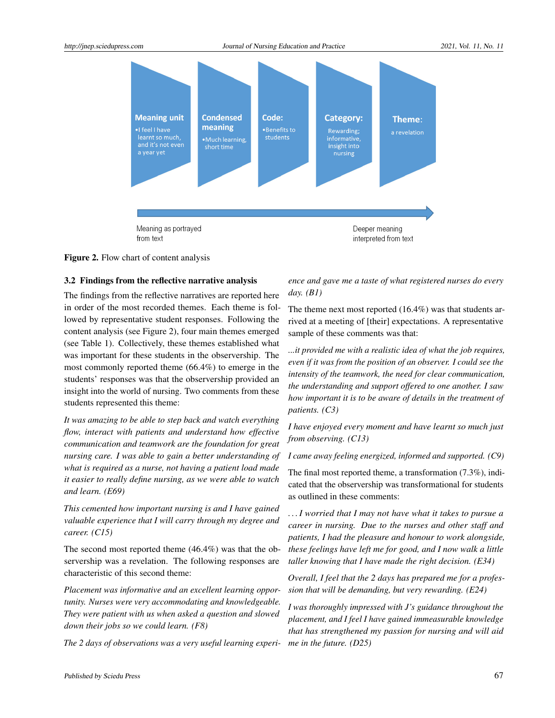

Figure 2. Flow chart of content analysis

#### 3.2 Findings from the reflective narrative analysis

The findings from the reflective narratives are reported here in order of the most recorded themes. Each theme is followed by representative student responses. Following the content analysis (see Figure 2), four main themes emerged (see Table 1). Collectively, these themes established what was important for these students in the observership. The most commonly reported theme (66.4%) to emerge in the students' responses was that the observership provided an insight into the world of nursing. Two comments from these students represented this theme:

*It was amazing to be able to step back and watch everything flow, interact with patients and understand how effective communication and teamwork are the foundation for great nursing care. I was able to gain a better understanding of what is required as a nurse, not having a patient load made it easier to really define nursing, as we were able to watch and learn. (E69)*

*This cemented how important nursing is and I have gained valuable experience that I will carry through my degree and career. (C15)*

The second most reported theme (46.4%) was that the observership was a revelation. The following responses are characteristic of this second theme:

*Placement was informative and an excellent learning opportunity. Nurses were very accommodating and knowledgeable. They were patient with us when asked a question and slowed down their jobs so we could learn. (F8)*

*The 2 days of observations was a very useful learning experi-*

*ence and gave me a taste of what registered nurses do every day. (B1)*

The theme next most reported (16.4%) was that students arrived at a meeting of [their] expectations. A representative sample of these comments was that:

*...it provided me with a realistic idea of what the job requires, even if it was from the position of an observer. I could see the intensity of the teamwork, the need for clear communication, the understanding and support offered to one another. I saw how important it is to be aware of details in the treatment of patients. (C3)*

*I have enjoyed every moment and have learnt so much just from observing. (C13)*

*I came away feeling energized, informed and supported. (C9)*

The final most reported theme, a transformation (7.3%), indicated that the observership was transformational for students as outlined in these comments:

*. . . I worried that I may not have what it takes to pursue a career in nursing. Due to the nurses and other staff and patients, I had the pleasure and honour to work alongside, these feelings have left me for good, and I now walk a little taller knowing that I have made the right decision. (E34)*

*Overall, I feel that the 2 days has prepared me for a profession that will be demanding, but very rewarding. (E24)*

*I was thoroughly impressed with J's guidance throughout the placement, and I feel I have gained immeasurable knowledge that has strengthened my passion for nursing and will aid me in the future. (D25)*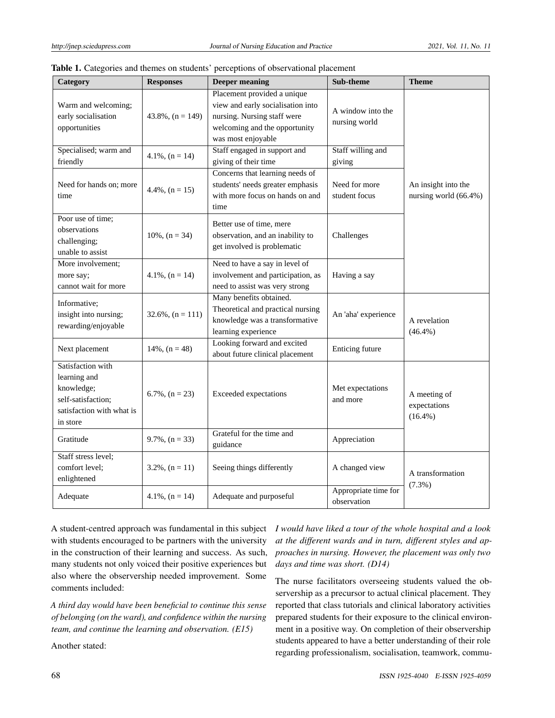| Category                                                                                                       | <b>Responses</b>     | <b>Deeper meaning</b>                                                                                                                                  | Sub-theme                                                                              | <b>Theme</b>                                 |  |
|----------------------------------------------------------------------------------------------------------------|----------------------|--------------------------------------------------------------------------------------------------------------------------------------------------------|----------------------------------------------------------------------------------------|----------------------------------------------|--|
| Warm and welcoming;<br>early socialisation<br>opportunities                                                    | $43.8\%, (n = 149)$  | Placement provided a unique<br>view and early socialisation into<br>nursing. Nursing staff were<br>welcoming and the opportunity<br>was most enjoyable | A window into the<br>nursing world                                                     |                                              |  |
| Specialised; warm and<br>friendly                                                                              | $4.1\%$ , $(n = 14)$ | Staff engaged in support and<br>giving of their time                                                                                                   | Staff willing and<br>giving                                                            |                                              |  |
| Need for hands on; more<br>time                                                                                | $4.4\%$ , $(n = 15)$ | Concerns that learning needs of<br>students' needs greater emphasis<br>with more focus on hands on and<br>time                                         | Need for more<br>student focus                                                         | An insight into the<br>nursing world (66.4%) |  |
| Poor use of time;<br>observations<br>challenging;<br>unable to assist                                          | $10\%, (n = 34)$     | Better use of time, mere<br>observation, and an inability to<br>get involved is problematic                                                            | Challenges                                                                             |                                              |  |
| More involvement;<br>more say;<br>cannot wait for more                                                         | $4.1\%$ , $(n = 14)$ | Need to have a say in level of<br>involvement and participation, as<br>need to assist was very strong                                                  | Having a say                                                                           |                                              |  |
| Informative;<br>insight into nursing;<br>rewarding/enjoyable                                                   | $32.6\%, (n = 111)$  | Many benefits obtained.<br>Theoretical and practical nursing<br>knowledge was a transformative<br>learning experience                                  | An 'aha' experience                                                                    | A revelation<br>$(46.4\%)$                   |  |
| Next placement                                                                                                 | $14\%, (n = 48)$     | Looking forward and excited<br>about future clinical placement                                                                                         | Enticing future                                                                        |                                              |  |
| Satisfaction with<br>learning and<br>knowledge;<br>self-satisfaction;<br>satisfaction with what is<br>in store | $6.7\%$ , $(n = 23)$ | <b>Exceeded</b> expectations                                                                                                                           | Met expectations<br>and more                                                           | A meeting of<br>expectations<br>$(16.4\%)$   |  |
| Gratitude                                                                                                      | $9.7\%$ , $(n = 33)$ | Grateful for the time and<br>guidance                                                                                                                  | Appreciation                                                                           |                                              |  |
| Staff stress level;<br>comfort level;<br>enlightened                                                           | $3.2\%$ , $(n = 11)$ | Seeing things differently                                                                                                                              | A changed view<br>A transformation<br>$(7.3\%)$<br>Appropriate time for<br>observation |                                              |  |
| Adequate                                                                                                       | $4.1\%$ , $(n = 14)$ | Adequate and purposeful                                                                                                                                |                                                                                        |                                              |  |

| <b>Table 1.</b> Categories and themes on students' perceptions of observational placement |  |  |
|-------------------------------------------------------------------------------------------|--|--|
|-------------------------------------------------------------------------------------------|--|--|

A student-centred approach was fundamental in this subject with students encouraged to be partners with the university in the construction of their learning and success. As such, many students not only voiced their positive experiences but also where the observership needed improvement. Some comments included:

*A third day would have been beneficial to continue this sense of belonging (on the ward), and confidence within the nursing team, and continue the learning and observation. (E15)*

Another stated:

*I would have liked a tour of the whole hospital and a look at the different wards and in turn, different styles and approaches in nursing. However, the placement was only two days and time was short. (D14)*

The nurse facilitators overseeing students valued the observership as a precursor to actual clinical placement. They reported that class tutorials and clinical laboratory activities prepared students for their exposure to the clinical environment in a positive way. On completion of their observership students appeared to have a better understanding of their role regarding professionalism, socialisation, teamwork, commu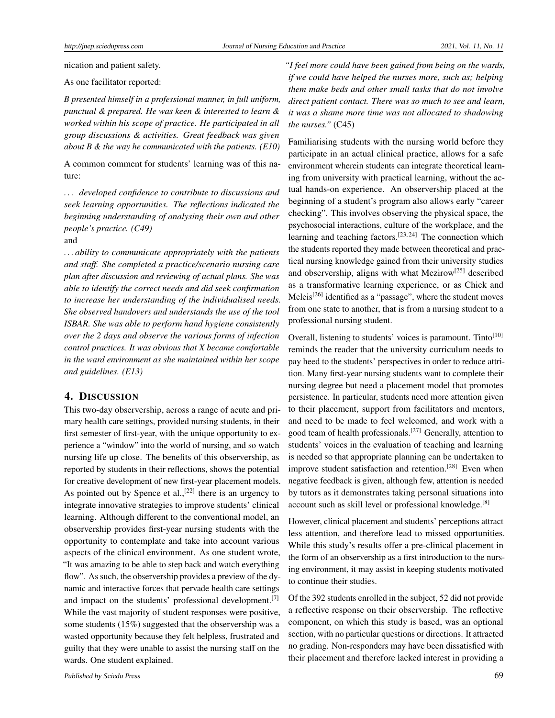nication and patient safety.

As one facilitator reported:

*B presented himself in a professional manner, in full uniform, punctual & prepared. He was keen & interested to learn & worked within his scope of practice. He participated in all group discussions & activities. Great feedback was given about B & the way he communicated with the patients. (E10)*

A common comment for students' learning was of this nature:

*. . . developed confidence to contribute to discussions and seek learning opportunities. The reflections indicated the beginning understanding of analysing their own and other people's practice. (C49)* and

*. . . ability to communicate appropriately with the patients and staff. She completed a practice/scenario nursing care plan after discussion and reviewing of actual plans. She was able to identify the correct needs and did seek confirmation to increase her understanding of the individualised needs. She observed handovers and understands the use of the tool ISBAR. She was able to perform hand hygiene consistently over the 2 days and observe the various forms of infection control practices. It was obvious that X became comfortable in the ward environment as she maintained within her scope and guidelines. (E13)*

#### 4. DISCUSSION

This two-day observership, across a range of acute and primary health care settings, provided nursing students, in their first semester of first-year, with the unique opportunity to experience a "window" into the world of nursing, and so watch nursing life up close. The benefits of this observership, as reported by students in their reflections, shows the potential for creative development of new first-year placement models. As pointed out by Spence et al.,  $[22]$  there is an urgency to integrate innovative strategies to improve students' clinical learning. Although different to the conventional model, an observership provides first-year nursing students with the opportunity to contemplate and take into account various aspects of the clinical environment. As one student wrote, "It was amazing to be able to step back and watch everything flow". As such, the observership provides a preview of the dynamic and interactive forces that pervade health care settings and impact on the students' professional development.<sup>[\[7\]](#page-6-4)</sup> While the vast majority of student responses were positive, some students (15%) suggested that the observership was a wasted opportunity because they felt helpless, frustrated and guilty that they were unable to assist the nursing staff on the wards. One student explained.

*"I feel more could have been gained from being on the wards, if we could have helped the nurses more, such as; helping them make beds and other small tasks that do not involve direct patient contact. There was so much to see and learn, it was a shame more time was not allocated to shadowing the nurses."* (C45)

Familiarising students with the nursing world before they participate in an actual clinical practice, allows for a safe environment wherein students can integrate theoretical learning from university with practical learning, without the actual hands-on experience. An observership placed at the beginning of a student's program also allows early "career checking". This involves observing the physical space, the psychosocial interactions, culture of the workplace, and the learning and teaching factors.<sup>[\[23,](#page-7-10) [24\]](#page-7-11)</sup> The connection which the students reported they made between theoretical and practical nursing knowledge gained from their university studies and observership, aligns with what Mezirow[\[25\]](#page-7-12) described as a transformative learning experience, or as Chick and Meleis<sup>[\[26\]](#page-7-13)</sup> identified as a "passage", where the student moves from one state to another, that is from a nursing student to a professional nursing student.

Overall, listening to students' voices is paramount. Tinto<sup>[\[10\]](#page-6-7)</sup> reminds the reader that the university curriculum needs to pay heed to the students' perspectives in order to reduce attrition. Many first-year nursing students want to complete their nursing degree but need a placement model that promotes persistence. In particular, students need more attention given to their placement, support from facilitators and mentors, and need to be made to feel welcomed, and work with a good team of health professionals.[\[27\]](#page-7-14) Generally, attention to students' voices in the evaluation of teaching and learning is needed so that appropriate planning can be undertaken to improve student satisfaction and retention.<sup>[\[28\]](#page-7-15)</sup> Even when negative feedback is given, although few, attention is needed by tutors as it demonstrates taking personal situations into account such as skill level or professional knowledge.[\[8\]](#page-6-5)

However, clinical placement and students' perceptions attract less attention, and therefore lead to missed opportunities. While this study's results offer a pre-clinical placement in the form of an observership as a first introduction to the nursing environment, it may assist in keeping students motivated to continue their studies.

Of the 392 students enrolled in the subject, 52 did not provide a reflective response on their observership. The reflective component, on which this study is based, was an optional section, with no particular questions or directions. It attracted no grading. Non-responders may have been dissatisfied with their placement and therefore lacked interest in providing a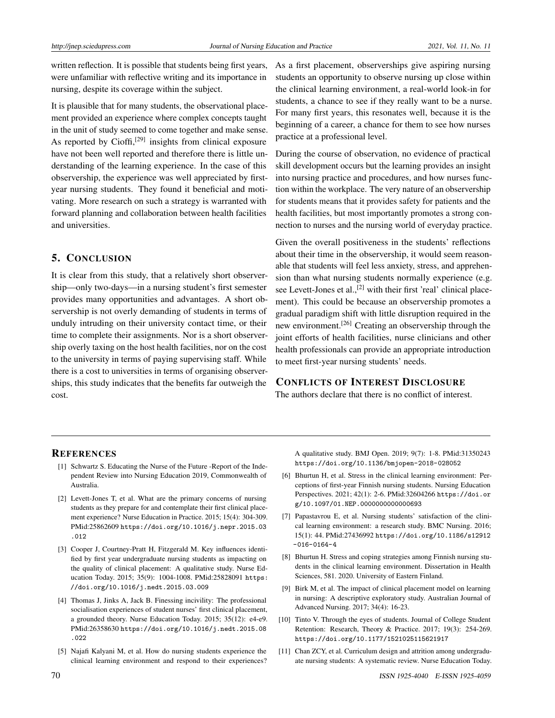written reflection. It is possible that students being first years, were unfamiliar with reflective writing and its importance in nursing, despite its coverage within the subject.

It is plausible that for many students, the observational placement provided an experience where complex concepts taught in the unit of study seemed to come together and make sense. As reported by Cioffi,<sup>[\[29\]](#page-7-16)</sup> insights from clinical exposure have not been well reported and therefore there is little understanding of the learning experience. In the case of this observership, the experience was well appreciated by firstyear nursing students. They found it beneficial and motivating. More research on such a strategy is warranted with forward planning and collaboration between health facilities and universities.

## 5. CONCLUSION

It is clear from this study, that a relatively short observership—only two-days—in a nursing student's first semester provides many opportunities and advantages. A short observership is not overly demanding of students in terms of unduly intruding on their university contact time, or their time to complete their assignments. Nor is a short observership overly taxing on the host health facilities, nor on the cost to the university in terms of paying supervising staff. While there is a cost to universities in terms of organising observerships, this study indicates that the benefits far outweigh the cost.

As a first placement, observerships give aspiring nursing students an opportunity to observe nursing up close within the clinical learning environment, a real-world look-in for students, a chance to see if they really want to be a nurse. For many first years, this resonates well, because it is the beginning of a career, a chance for them to see how nurses practice at a professional level.

During the course of observation, no evidence of practical skill development occurs but the learning provides an insight into nursing practice and procedures, and how nurses function within the workplace. The very nature of an observership for students means that it provides safety for patients and the health facilities, but most importantly promotes a strong connection to nurses and the nursing world of everyday practice.

Given the overall positiveness in the students' reflections about their time in the observership, it would seem reasonable that students will feel less anxiety, stress, and apprehension than what nursing students normally experience (e.g. see Levett-Jones et al.,<sup>[\[2\]](#page-6-1)</sup> with their first 'real' clinical placement). This could be because an observership promotes a gradual paradigm shift with little disruption required in the new environment.[\[26\]](#page-7-13) Creating an observership through the joint efforts of health facilities, nurse clinicians and other health professionals can provide an appropriate introduction to meet first-year nursing students' needs.

#### CONFLICTS OF INTEREST DISCLOSURE

The authors declare that there is no conflict of interest.

#### **REFERENCES**

- <span id="page-6-0"></span>[1] Schwartz S. Educating the Nurse of the Future -Report of the Independent Review into Nursing Education 2019, Commonwealth of Australia.
- <span id="page-6-1"></span>[2] Levett-Jones T, et al. What are the primary concerns of nursing students as they prepare for and contemplate their first clinical placement experience? Nurse Education in Practice. 2015; 15(4): 304-309. PMid:25862609 [https://doi.org/10.1016/j.nepr.2015.03](https://doi.org/10.1016/j.nepr.2015.03.012) [.012](https://doi.org/10.1016/j.nepr.2015.03.012)
- [3] Cooper J, Courtney-Pratt H, Fitzgerald M. Key influences identified by first year undergraduate nursing students as impacting on the quality of clinical placement: A qualitative study. Nurse Education Today. 2015; 35(9): 1004-1008. PMid:25828091 [https:](https://doi.org/10.1016/j.nedt.2015.03.009) [//doi.org/10.1016/j.nedt.2015.03.009](https://doi.org/10.1016/j.nedt.2015.03.009)
- [4] Thomas J, Jinks A, Jack B. Finessing incivility: The professional socialisation experiences of student nurses' first clinical placement, a grounded theory. Nurse Education Today. 2015; 35(12): e4-e9. PMid:26358630 [https://doi.org/10.1016/j.nedt.2015.08](https://doi.org/10.1016/j.nedt.2015.08.022) [.022](https://doi.org/10.1016/j.nedt.2015.08.022)
- <span id="page-6-3"></span>[5] Najafi Kalyani M, et al. How do nursing students experience the clinical learning environment and respond to their experiences?

A qualitative study. BMJ Open. 2019; 9(7): 1-8. PMid:31350243 <https://doi.org/10.1136/bmjopen-2018-028052>

- <span id="page-6-2"></span>[6] Bhurtun H, et al. Stress in the clinical learning environment: Perceptions of first-year Finnish nursing students. Nursing Education Perspectives. 2021; 42(1): 2-6. PMid:32604266 [https://doi.or](https://doi.org/10.1097/01.NEP.0000000000000693) [g/10.1097/01.NEP.0000000000000693](https://doi.org/10.1097/01.NEP.0000000000000693)
- <span id="page-6-4"></span>[7] Papastavrou E, et al. Nursing students' satisfaction of the clinical learning environment: a research study. BMC Nursing. 2016; 15(1): 44. PMid:27436992 [https://doi.org/10.1186/s12912](https://doi.org/10.1186/s12912-016-0164-4)  $-016-0164-4$
- <span id="page-6-5"></span>[8] Bhurtun H. Stress and coping strategies among Finnish nursing students in the clinical learning environment. Dissertation in Health Sciences, 581. 2020. University of Eastern Finland.
- <span id="page-6-6"></span>[9] Birk M, et al. The impact of clinical placement model on learning in nursing: A descriptive exploratory study. Australian Journal of Advanced Nursing. 2017; 34(4): 16-23.
- <span id="page-6-7"></span>[10] Tinto V. Through the eyes of students. Journal of College Student Retention: Research, Theory & Practice. 2017; 19(3): 254-269. <https://doi.org/10.1177/1521025115621917>
- <span id="page-6-8"></span>[11] Chan ZCY, et al. Curriculum design and attrition among undergraduate nursing students: A systematic review. Nurse Education Today.